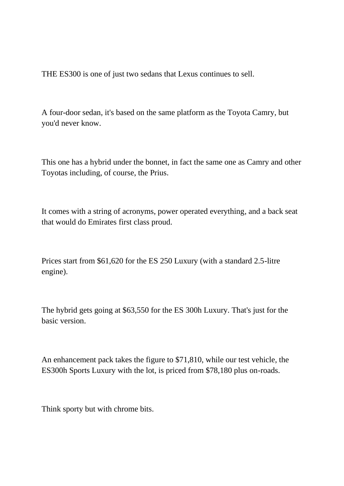THE ES300 is one of just two sedans that Lexus continues to sell.

A four-door sedan, it's based on the same platform as the Toyota Camry, but you'd never know.

This one has a hybrid under the bonnet, in fact the same one as Camry and other Toyotas including, of course, the Prius.

It comes with a string of acronyms, power operated everything, and a back seat that would do Emirates first class proud.

Prices start from \$61,620 for the ES 250 Luxury (with a standard 2.5-litre engine).

The hybrid gets going at \$63,550 for the ES 300h Luxury. That's just for the basic version.

An enhancement pack takes the figure to \$71,810, while our test vehicle, the ES300h Sports Luxury with the lot, is priced from \$78,180 plus on-roads.

Think sporty but with chrome bits.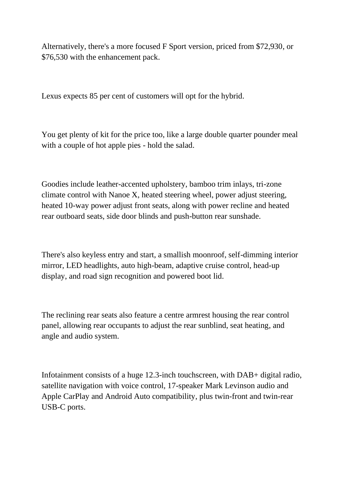Alternatively, there's a more focused F Sport version, priced from \$72,930, or \$76,530 with the enhancement pack.

Lexus expects 85 per cent of customers will opt for the hybrid.

You get plenty of kit for the price too, like a large double quarter pounder meal with a couple of hot apple pies - hold the salad.

Goodies include leather-accented upholstery, bamboo trim inlays, tri-zone climate control with Nanoe X, heated steering wheel, power adjust steering, heated 10-way power adjust front seats, along with power recline and heated rear outboard seats, side door blinds and push-button rear sunshade.

There's also keyless entry and start, a smallish moonroof, self-dimming interior mirror, LED headlights, auto high-beam, adaptive cruise control, head-up display, and road sign recognition and powered boot lid.

The reclining rear seats also feature a centre armrest housing the rear control panel, allowing rear occupants to adjust the rear sunblind, seat heating, and angle and audio system.

Infotainment consists of a huge 12.3-inch touchscreen, with DAB+ digital radio, satellite navigation with voice control, 17-speaker Mark Levinson audio and Apple CarPlay and Android Auto compatibility, plus twin-front and twin-rear USB-C ports.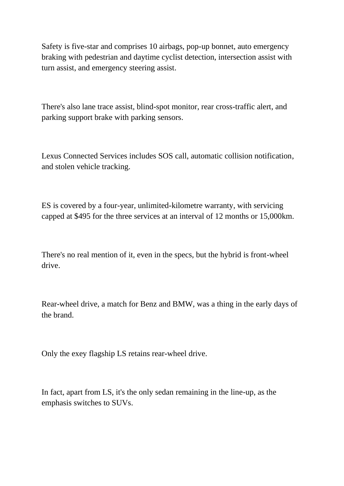Safety is five-star and comprises 10 airbags, pop-up bonnet, auto emergency braking with pedestrian and daytime cyclist detection, intersection assist with turn assist, and emergency steering assist.

There's also lane trace assist, blind-spot monitor, rear cross-traffic alert, and parking support brake with parking sensors.

Lexus Connected Services includes SOS call, automatic collision notification, and stolen vehicle tracking.

ES is covered by a four-year, unlimited-kilometre warranty, with servicing capped at \$495 for the three services at an interval of 12 months or 15,000km.

There's no real mention of it, even in the specs, but the hybrid is front-wheel drive.

Rear-wheel drive, a match for Benz and BMW, was a thing in the early days of the brand.

Only the exey flagship LS retains rear-wheel drive.

In fact, apart from LS, it's the only sedan remaining in the line-up, as the emphasis switches to SUVs.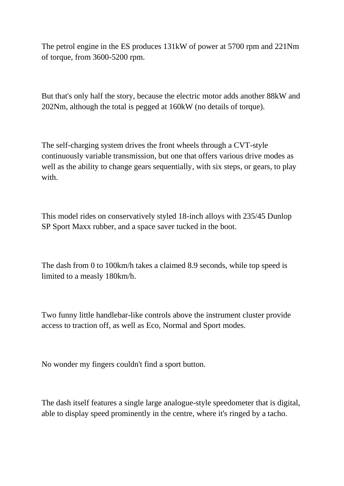The petrol engine in the ES produces 131kW of power at 5700 rpm and 221Nm of torque, from 3600-5200 rpm.

But that's only half the story, because the electric motor adds another 88kW and 202Nm, although the total is pegged at 160kW (no details of torque).

The self-charging system drives the front wheels through a CVT-style continuously variable transmission, but one that offers various drive modes as well as the ability to change gears sequentially, with six steps, or gears, to play with.

This model rides on conservatively styled 18-inch alloys with 235/45 Dunlop SP Sport Maxx rubber, and a space saver tucked in the boot.

The dash from 0 to 100km/h takes a claimed 8.9 seconds, while top speed is limited to a measly 180km/h.

Two funny little handlebar-like controls above the instrument cluster provide access to traction off, as well as Eco, Normal and Sport modes.

No wonder my fingers couldn't find a sport button.

The dash itself features a single large analogue-style speedometer that is digital, able to display speed prominently in the centre, where it's ringed by a tacho.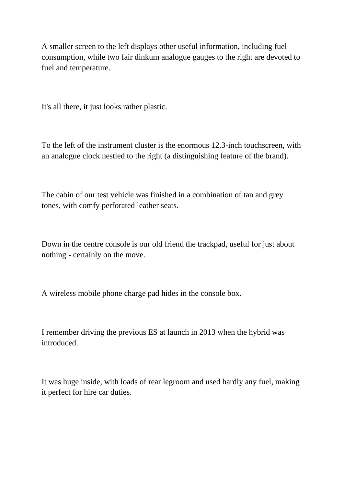A smaller screen to the left displays other useful information, including fuel consumption, while two fair dinkum analogue gauges to the right are devoted to fuel and temperature.

It's all there, it just looks rather plastic.

To the left of the instrument cluster is the enormous 12.3-inch touchscreen, with an analogue clock nestled to the right (a distinguishing feature of the brand).

The cabin of our test vehicle was finished in a combination of tan and grey tones, with comfy perforated leather seats.

Down in the centre console is our old friend the trackpad, useful for just about nothing - certainly on the move.

A wireless mobile phone charge pad hides in the console box.

I remember driving the previous ES at launch in 2013 when the hybrid was introduced.

It was huge inside, with loads of rear legroom and used hardly any fuel, making it perfect for hire car duties.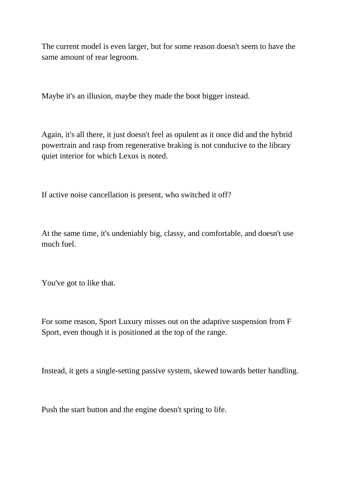The current model is even larger, but for some reason doesn't seem to have the same amount of rear legroom.

Maybe it's an illusion, maybe they made the boot bigger instead.

Again, it's all there, it just doesn't feel as opulent as it once did and the hybrid powertrain and rasp from regenerative braking is not conducive to the library quiet interior for which Lexus is noted.

If active noise cancellation is present, who switched it off?

At the same time, it's undeniably big, classy, and comfortable, and doesn't use much fuel.

You've got to like that.

For some reason, Sport Luxury misses out on the adaptive suspension from F Sport, even though it is positioned at the top of the range.

Instead, it gets a single-setting passive system, skewed towards better handling.

Push the start button and the engine doesn't spring to life.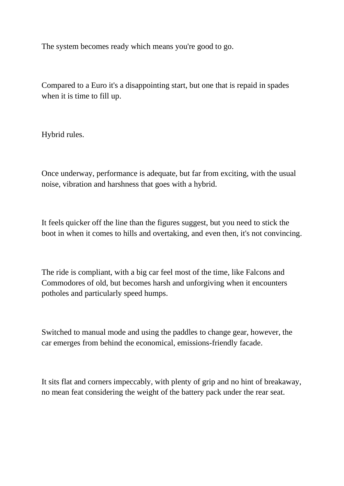The system becomes ready which means you're good to go.

Compared to a Euro it's a disappointing start, but one that is repaid in spades when it is time to fill up.

Hybrid rules.

Once underway, performance is adequate, but far from exciting, with the usual noise, vibration and harshness that goes with a hybrid.

It feels quicker off the line than the figures suggest, but you need to stick the boot in when it comes to hills and overtaking, and even then, it's not convincing.

The ride is compliant, with a big car feel most of the time, like Falcons and Commodores of old, but becomes harsh and unforgiving when it encounters potholes and particularly speed humps.

Switched to manual mode and using the paddles to change gear, however, the car emerges from behind the economical, emissions-friendly facade.

It sits flat and corners impeccably, with plenty of grip and no hint of breakaway, no mean feat considering the weight of the battery pack under the rear seat.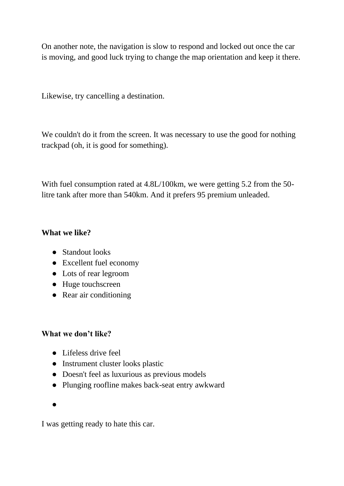On another note, the navigation is slow to respond and locked out once the car is moving, and good luck trying to change the map orientation and keep it there.

Likewise, try cancelling a destination.

We couldn't do it from the screen. It was necessary to use the good for nothing trackpad (oh, it is good for something).

With fuel consumption rated at 4.8L/100km, we were getting 5.2 from the 50 litre tank after more than 540km. And it prefers 95 premium unleaded.

## **What we like?**

- Standout looks
- Excellent fuel economy
- Lots of rear legroom
- Huge touchscreen
- Rear air conditioning

## **What we don't like?**

- Lifeless drive feel
- Instrument cluster looks plastic
- Doesn't feel as luxurious as previous models
- Plunging roofline makes back-seat entry awkward
- ●

I was getting ready to hate this car.